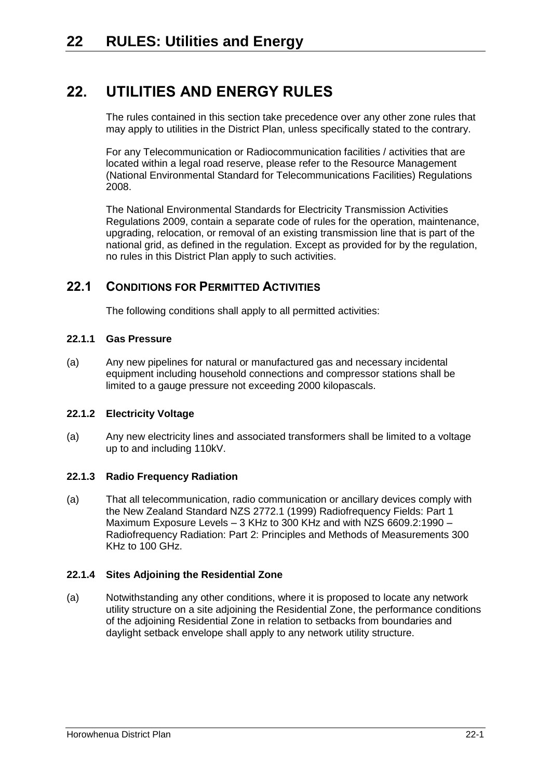# **22. UTILITIES AND ENERGY RULES**

The rules contained in this section take precedence over any other zone rules that may apply to utilities in the District Plan, unless specifically stated to the contrary.

For any Telecommunication or Radiocommunication facilities / activities that are located within a legal road reserve, please refer to the Resource Management (National Environmental Standard for Telecommunications Facilities) Regulations 2008.

The National Environmental Standards for Electricity Transmission Activities Regulations 2009, contain a separate code of rules for the operation, maintenance, upgrading, relocation, or removal of an existing transmission line that is part of the national grid, as defined in the regulation. Except as provided for by the regulation, no rules in this District Plan apply to such activities.

## <span id="page-0-0"></span>**22.1 CONDITIONS FOR PERMITTED ACTIVITIES**

The following conditions shall apply to all permitted activities:

### **22.1.1 Gas Pressure**

(a) Any new pipelines for natural or manufactured gas and necessary incidental equipment including household connections and compressor stations shall be limited to a gauge pressure not exceeding 2000 kilopascals.

#### **22.1.2 Electricity Voltage**

(a) Any new electricity lines and associated transformers shall be limited to a voltage up to and including 110kV.

#### **22.1.3 Radio Frequency Radiation**

(a) That all telecommunication, radio communication or ancillary devices comply with the New Zealand Standard NZS 2772.1 (1999) Radiofrequency Fields: Part 1 Maximum Exposure Levels – 3 KHz to 300 KHz and with NZS 6609.2:1990 – Radiofrequency Radiation: Part 2: Principles and Methods of Measurements 300 KHz to 100 GHz.

#### **22.1.4 Sites Adjoining the Residential Zone**

(a) Notwithstanding any other conditions, where it is proposed to locate any network utility structure on a site adjoining the Residential Zone, the performance conditions of the adjoining Residential Zone in relation to setbacks from boundaries and daylight setback envelope shall apply to any network utility structure.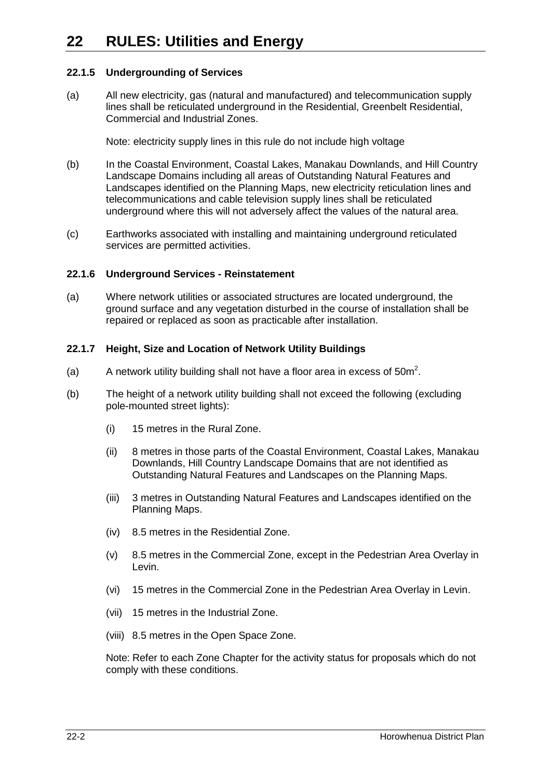#### **22.1.5 Undergrounding of Services**

(a) All new electricity, gas (natural and manufactured) and telecommunication supply lines shall be reticulated underground in the Residential, Greenbelt Residential, Commercial and Industrial Zones.

Note: electricity supply lines in this rule do not include high voltage

- (b) In the Coastal Environment, Coastal Lakes, Manakau Downlands, and Hill Country Landscape Domains including all areas of Outstanding Natural Features and Landscapes identified on the Planning Maps, new electricity reticulation lines and telecommunications and cable television supply lines shall be reticulated underground where this will not adversely affect the values of the natural area.
- (c) Earthworks associated with installing and maintaining underground reticulated services are permitted activities.

#### **22.1.6 Underground Services - Reinstatement**

(a) Where network utilities or associated structures are located underground, the ground surface and any vegetation disturbed in the course of installation shall be repaired or replaced as soon as practicable after installation.

#### **22.1.7 Height, Size and Location of Network Utility Buildings**

- (a) A network utility building shall not have a floor area in excess of  $50m^2$ .
- (b) The height of a network utility building shall not exceed the following (excluding pole-mounted street lights):
	- (i) 15 metres in the Rural Zone.
	- (ii) 8 metres in those parts of the Coastal Environment, Coastal Lakes, Manakau Downlands, Hill Country Landscape Domains that are not identified as Outstanding Natural Features and Landscapes on the Planning Maps.
	- (iii) 3 metres in Outstanding Natural Features and Landscapes identified on the Planning Maps.
	- (iv) 8.5 metres in the Residential Zone.
	- (v) 8.5 metres in the Commercial Zone, except in the Pedestrian Area Overlay in Levin.
	- (vi) 15 metres in the Commercial Zone in the Pedestrian Area Overlay in Levin.
	- (vii) 15 metres in the Industrial Zone.
	- (viii) 8.5 metres in the Open Space Zone.

Note: Refer to each Zone Chapter for the activity status for proposals which do not comply with these conditions.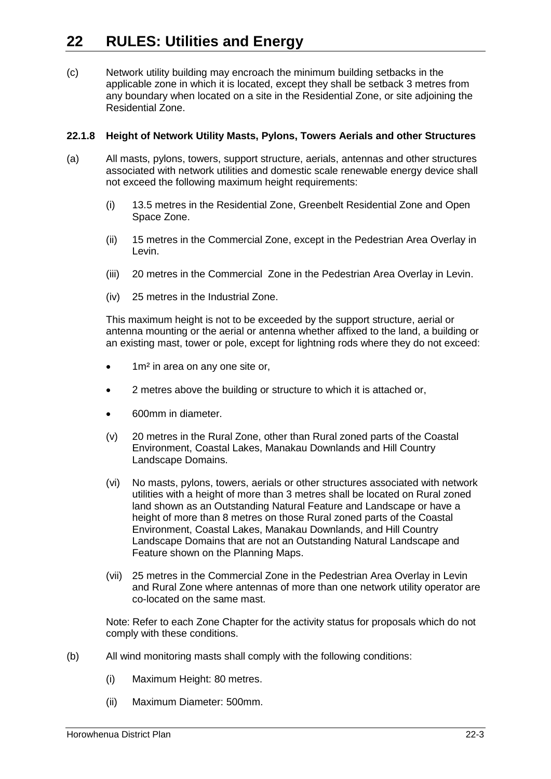(c) Network utility building may encroach the minimum building setbacks in the applicable zone in which it is located, except they shall be setback 3 metres from any boundary when located on a site in the Residential Zone, or site adjoining the Residential Zone.

#### **22.1.8 Height of Network Utility Masts, Pylons, Towers Aerials and other Structures**

- (a) All masts, pylons, towers, support structure, aerials, antennas and other structures associated with network utilities and domestic scale renewable energy device shall not exceed the following maximum height requirements:
	- (i) 13.5 metres in the Residential Zone, Greenbelt Residential Zone and Open Space Zone.
	- (ii) 15 metres in the Commercial Zone, except in the Pedestrian Area Overlay in Levin.
	- (iii) 20 metres in the Commercial Zone in the Pedestrian Area Overlay in Levin.
	- (iv) 25 metres in the Industrial Zone.

This maximum height is not to be exceeded by the support structure, aerial or antenna mounting or the aerial or antenna whether affixed to the land, a building or an existing mast, tower or pole, except for lightning rods where they do not exceed:

- 1m² in area on any one site or,
- 2 metres above the building or structure to which it is attached or,
- 600mm in diameter.
- (v) 20 metres in the Rural Zone, other than Rural zoned parts of the Coastal Environment, Coastal Lakes, Manakau Downlands and Hill Country Landscape Domains.
- (vi) No masts, pylons, towers, aerials or other structures associated with network utilities with a height of more than 3 metres shall be located on Rural zoned land shown as an Outstanding Natural Feature and Landscape or have a height of more than 8 metres on those Rural zoned parts of the Coastal Environment, Coastal Lakes, Manakau Downlands, and Hill Country Landscape Domains that are not an Outstanding Natural Landscape and Feature shown on the Planning Maps.
- (vii) 25 metres in the Commercial Zone in the Pedestrian Area Overlay in Levin and Rural Zone where antennas of more than one network utility operator are co-located on the same mast.

Note: Refer to each Zone Chapter for the activity status for proposals which do not comply with these conditions.

- (b) All wind monitoring masts shall comply with the following conditions:
	- (i) Maximum Height: 80 metres.
	- (ii) Maximum Diameter: 500mm.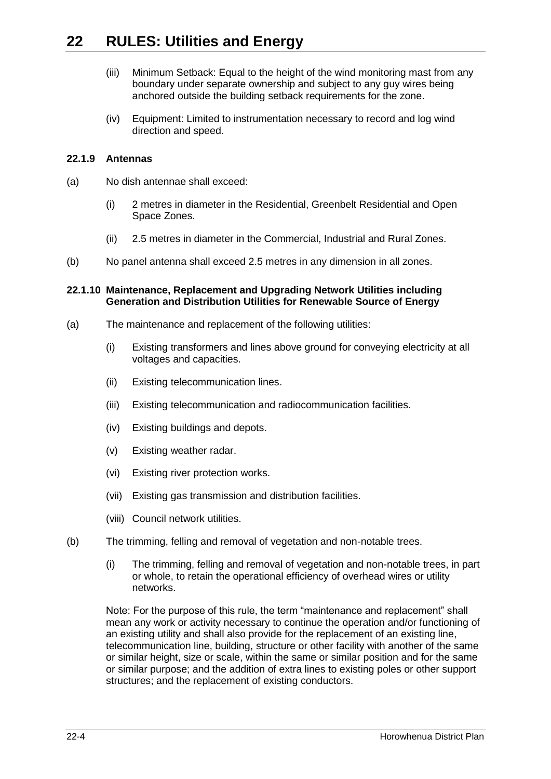- (iii) Minimum Setback: Equal to the height of the wind monitoring mast from any boundary under separate ownership and subject to any guy wires being anchored outside the building setback requirements for the zone.
- (iv) Equipment: Limited to instrumentation necessary to record and log wind direction and speed.

#### **22.1.9 Antennas**

- (a) No dish antennae shall exceed:
	- (i) 2 metres in diameter in the Residential, Greenbelt Residential and Open Space Zones.
	- (ii) 2.5 metres in diameter in the Commercial, Industrial and Rural Zones.
- (b) No panel antenna shall exceed 2.5 metres in any dimension in all zones.

#### **22.1.10 Maintenance, Replacement and Upgrading Network Utilities including Generation and Distribution Utilities for Renewable Source of Energy**

- (a) The maintenance and replacement of the following utilities:
	- (i) Existing transformers and lines above ground for conveying electricity at all voltages and capacities.
	- (ii) Existing telecommunication lines.
	- (iii) Existing telecommunication and radiocommunication facilities.
	- (iv) Existing buildings and depots.
	- (v) Existing weather radar.
	- (vi) Existing river protection works.
	- (vii) Existing gas transmission and distribution facilities.
	- (viii) Council network utilities.
- (b) The trimming, felling and removal of vegetation and non-notable trees.
	- (i) The trimming, felling and removal of vegetation and non-notable trees, in part or whole, to retain the operational efficiency of overhead wires or utility networks.

Note: For the purpose of this rule, the term "maintenance and replacement" shall mean any work or activity necessary to continue the operation and/or functioning of an existing utility and shall also provide for the replacement of an existing line, telecommunication line, building, structure or other facility with another of the same or similar height, size or scale, within the same or similar position and for the same or similar purpose; and the addition of extra lines to existing poles or other support structures; and the replacement of existing conductors.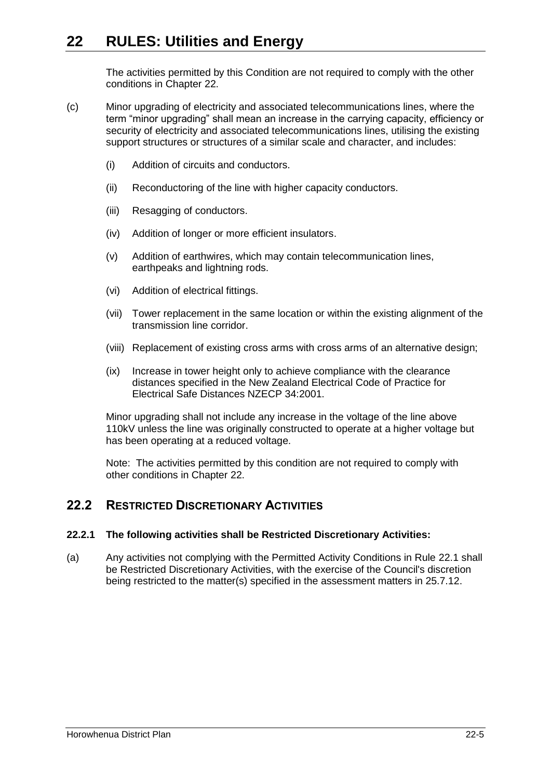The activities permitted by this Condition are not required to comply with the other conditions in Chapter 22.

- (c) Minor upgrading of electricity and associated telecommunications lines, where the term "minor upgrading" shall mean an increase in the carrying capacity, efficiency or security of electricity and associated telecommunications lines, utilising the existing support structures or structures of a similar scale and character, and includes:
	- (i) Addition of circuits and conductors.
	- (ii) Reconductoring of the line with higher capacity conductors.
	- (iii) Resagging of conductors.
	- (iv) Addition of longer or more efficient insulators.
	- (v) Addition of earthwires, which may contain telecommunication lines, earthpeaks and lightning rods.
	- (vi) Addition of electrical fittings.
	- (vii) Tower replacement in the same location or within the existing alignment of the transmission line corridor.
	- (viii) Replacement of existing cross arms with cross arms of an alternative design;
	- (ix) Increase in tower height only to achieve compliance with the clearance distances specified in the New Zealand Electrical Code of Practice for Electrical Safe Distances NZECP 34:2001.

Minor upgrading shall not include any increase in the voltage of the line above 110kV unless the line was originally constructed to operate at a higher voltage but has been operating at a reduced voltage.

Note: The activities permitted by this condition are not required to comply with other conditions in Chapter 22.

## **22.2 RESTRICTED DISCRETIONARY ACTIVITIES**

#### **22.2.1 The following activities shall be Restricted Discretionary Activities:**

(a) Any activities not complying with the Permitted Activity Conditions in Rule [22.1](#page-0-0) shall be Restricted Discretionary Activities, with the exercise of the Council's discretion being restricted to the matter(s) specified in the assessment matters in 25.7.12.